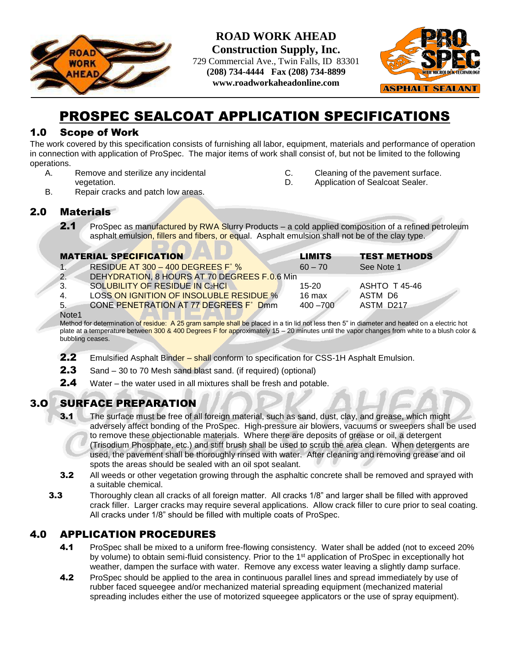

**ROAD WORK AHEAD Construction Supply, Inc.**

729 Commercial Ave., Twin Falls, ID 83301 **(208) 734-4444 Fax (208) 734-8899 www.roadworkaheadonline.com**



# PROSPEC SEALCOAT APPLICATION SPECIFICATIONS

#### 1.0 Scope of Work

The work covered by this specification consists of furnishing all labor, equipment, materials and performance of operation in connection with application of ProSpec. The major items of work shall consist of, but not be limited to the following operations.

A. Remove and sterilize any incidental vegetation.

- C. Cleaning of the pavement surface.
- D. Application of Sealcoat Sealer.
- B. Repair cracks and patch low areas.

#### 2.0 Materials

2.1 ProSpec as manufactured by RWA Slurry Products – a cold applied composition of a refined petroleum asphalt emulsion, fillers and fibers, or equal. Asphalt emulsion shall not be of the clay type.

|                   | <b>MATERIAL SPECIFICATION</b>                | <b>LIMITS</b>    | <b>TEST METHODS</b> |
|-------------------|----------------------------------------------|------------------|---------------------|
| $\overline{1}$    | RESIDUE AT 300 - 400 DEGREES F° $\%$         | $60 - 70$        | See Note 1          |
| $\overline{2}$ .  | DEHYDRATION, 8 HOURS AT 70 DEGREES F.0.6 Min |                  |                     |
| 3.                | SOLUBILITY OF RESIDUE IN C2HCI               | $15 - 20$        | ASHTO T 45-46       |
| 4.                | LOSS ON IGNITION OF INSOLUBLE RESIDUE %      | $16 \text{ max}$ | ASTM D6             |
| 5.                | CONE PENETRATION AT 77 DEGREES F° Dmm        | $400 - 700$      | ASTM D217           |
| Note <sub>1</sub> |                                              |                  |                     |

Method for determination of residue: A 25 gram sample shall be placed in a tin lid not less then 5" in diameter and heated on a electric hot plate at a temperature between 300 & 400 Degrees F for approximately 15 - 20 minutes until the vapor changes from white to a blush color & bubbling ceases.

- 2.2 Emulsified Asphalt Binder shall conform to specification for CSS-1H Asphalt Emulsion.
- 2.3 Sand 30 to 70 Mesh sand blast sand. (if required) (optional)
- **2.4** Water the water used in all mixtures shall be fresh and potable.

## 3.O SURFACE PREPARATION

- **3.1** The surface must be free of all foreign material, such as sand, dust, clay, and grease, which might adversely affect bonding of the ProSpec. High-pressure air blowers, vacuums or sweepers shall be used to remove these objectionable materials. Where there are deposits of grease or oil, a detergent (Trisodium Phosphate, etc.) and stiff brush shall be used to scrub the area clean. When detergents are used, the pavement shall be thoroughly rinsed with water. After cleaning and removing grease and oil spots the areas should be sealed with an oil spot sealant.
- **3.2** All weeds or other vegetation growing through the asphaltic concrete shall be removed and sprayed with a suitable chemical.
- **3.3** Thoroughly clean all cracks of all foreign matter. All cracks 1/8" and larger shall be filled with approved crack filler. Larger cracks may require several applications. Allow crack filler to cure prior to seal coating. All cracks under 1/8" should be filled with multiple coats of ProSpec.

## 4.0 APPLICATION PROCEDURES

- 4.1 ProSpec shall be mixed to a uniform free-flowing consistency. Water shall be added (not to exceed 20% by volume) to obtain semi-fluid consistency. Prior to the 1<sup>st</sup> application of ProSpec in exceptionally hot weather, dampen the surface with water. Remove any excess water leaving a slightly damp surface.
- 4.2 ProSpec should be applied to the area in continuous parallel lines and spread immediately by use of rubber faced squeegee and/or mechanized material spreading equipment (mechanized material spreading includes either the use of motorized squeegee applicators or the use of spray equipment).